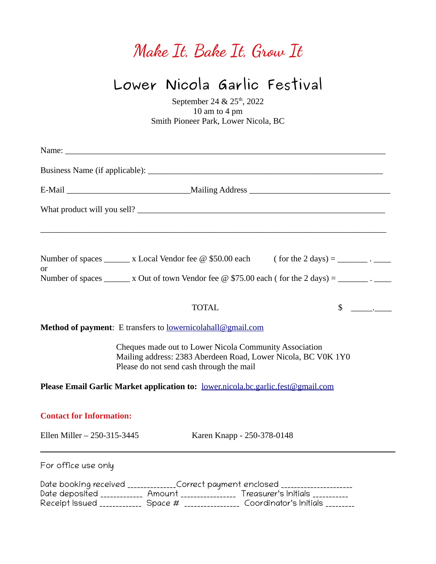## **Make It, Bake It, Grow It**

## **Lower Nicola Garlic Festival**

September 24 & 25<sup>th</sup>, 2022 10 am to 4 pm Smith Pioneer Park, Lower Nicola, BC

| ,我们也不能在这里的时候,我们也不能在这里的时候,我们也不能会在这里的时候,我们也不能会在这里的时候,我们也不能会在这里的时候,我们也不能会在这里的时候,我们也                                                                                                                                                                                |
|-----------------------------------------------------------------------------------------------------------------------------------------------------------------------------------------------------------------------------------------------------------------|
| Number of spaces ________ x Local Vendor fee $\omega$ \$50.00 each (for the 2 days) = ________. ______<br>or<br>Number of spaces _______ x Out of town Vendor fee $\omega$ \$75.00 each (for the 2 days) = ________.                                            |
| $\frac{\cdot}{\cdot}$<br><b>TOTAL</b>                                                                                                                                                                                                                           |
| Method of payment: E transfers to lowernicolahall@gmail.com                                                                                                                                                                                                     |
| Cheques made out to Lower Nicola Community Association<br>Mailing address: 2383 Aberdeen Road, Lower Nicola, BC V0K 1Y0<br>Please do not send cash through the mail                                                                                             |
| Please Email Garlic Market application to: lower.nicola.bc.garlic.fest@gmail.com                                                                                                                                                                                |
| <b>Contact for Information:</b><br>Ellen Miller - 250-315-3445<br>Karen Knapp - 250-378-0148                                                                                                                                                                    |
| For office use only                                                                                                                                                                                                                                             |
| Date booking received _____________Correct payment enclosed ____________________<br>Date deposited ____________ Amount ________________ Treasurer's Initials __________<br>Receipt Issued ____________ Space # ________________ Coordinator's Initials ________ |